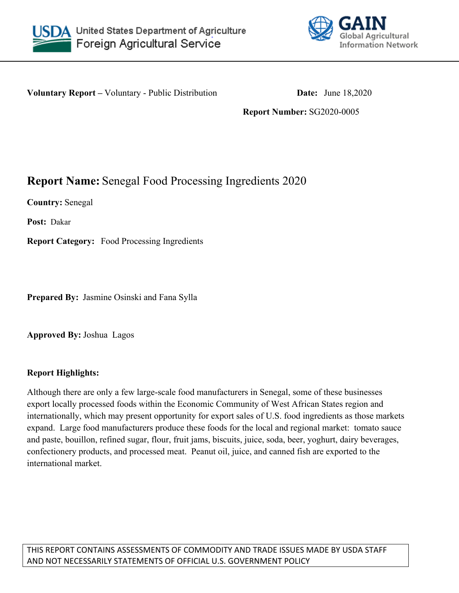



**Voluntary Report** – Voluntary - Public Distribution **Date:** June 18,2020

**Report Number:** SG2020-0005

# **Report Name:** Senegal Food Processing Ingredients 2020

**Country:** Senegal

**Post:** Dakar

**Report Category:** Food Processing Ingredients

**Prepared By:** Jasmine Osinski and Fana Sylla

**Approved By:** Joshua Lagos

## **Report Highlights:**

Although there are only a few large-scale food manufacturers in Senegal, some of these businesses export locally processed foods within the Economic Community of West African States region and internationally, which may present opportunity for export sales of U.S. food ingredients as those markets expand. Large food manufacturers produce these foods for the local and regional market: tomato sauce and paste, bouillon, refined sugar, flour, fruit jams, biscuits, juice, soda, beer, yoghurt, dairy beverages, confectionery products, and processed meat. Peanut oil, juice, and canned fish are exported to the international market.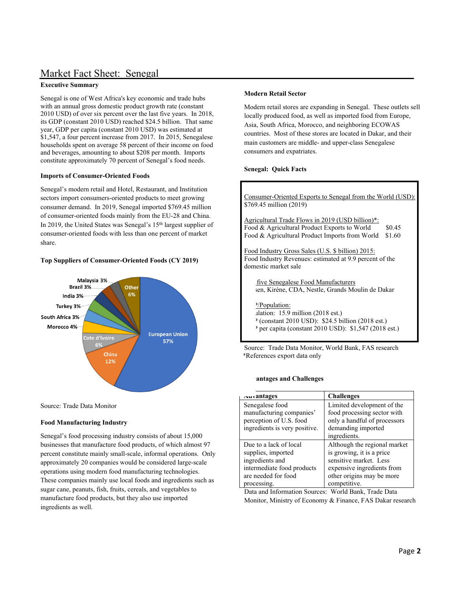# Market Fact Sheet: Senegal

#### **Executive Summary**

Senegal is one of West Africa's key economic and trade hubs with an annual gross domestic product growth rate (constant 2010 USD) of over six percent over the last five years. In 2018, its GDP (constant 2010 USD) reached \$24.5 billion. That same year, GDP per capita (constant 2010 USD) was estimated at \$1,547, a four percent increase from 2017. In 2015, Senegalese households spent on average 58 percent of their income on food and beverages, amounting to about \$208 per month. Imports constitute approximately 70 percent of Senegal's food needs.

#### **Imports of Consumer-Oriented Foods**

Senegal's modern retail and Hotel, Restaurant, and Institution sectors import consumers-oriented products to meet growing consumer demand. In 2019, Senegal imported \$769.45 million of consumer-oriented foods mainly from the EU-28 and China. In 2019, the United States was Senegal's 15th largest supplier of consumer-oriented foods with less than one percent of market share.

#### **Top Suppliers of Consumer-Oriented Foods (CY 2019)**



Source: Trade Data Monitor

#### **Food Manufacturing Industry**

Senegal's food processing industry consists of about 15,000 businesses that manufacture food products, of which almost 97 percent constitute mainly small-scale, informal operations. Only approximately 20 companies would be considered large-scale operations using modern food manufacturing technologies. These companies mainly use local foods and ingredients such as sugar cane, peanuts, fish, fruits, cereals, and vegetables to manufacture food products, but they also use imported ingredients as well.

#### **Modern Retail Sector**

Modern retail stores are expanding in Senegal. These outlets sell locally produced food, as well as imported food from Europe, Asia, South Africa, Morocco, and neighboring ECOWAS countries. Most of these stores are located in Dakar, and their main customers are middle- and upper-class Senegalese consumers and expatriates.

#### **Senegal: Quick Facts**

Consumer-Oriented Exports to Senegal from the World (USD): \$769.45 million (2019) Agricultural Trade Flows in 2019 (USD billion)\*: Food & Agricultural Product Exports to World \$0.45 Food & Agricultural Product Imports from World \$1.60 Food Industry Gross Sales (U.S. \$ billion) 2015: Food Industry Revenues: estimated at 9.9 percent of the domestic market sale five Senegalese Food Manufacturers sen, Kirène, CDA, Nestle, Grands Moulin de Dakar P/Population: ulation:  $15.9$  million (2018 est.) P (constant 2010 USD): \$24.5 billion (2018 est.) P per capita (constant 2010 USD): \$1,547 (2018 est.)

 Source: Trade Data Monitor, World Bank, FAS research \*References export data only

#### **Analysis and Challenges**

| Auvantages                    | <b>Challenges</b>            |
|-------------------------------|------------------------------|
| Senegalese food               | Limited development of the   |
| manufacturing companies'      | food processing sector with  |
| perception of U.S. food       | only a handful of processors |
| ingredients is very positive. | demanding imported           |
|                               | ingredients.                 |
| Due to a lack of local        | Although the regional market |
| supplies, imported            | is growing, it is a price    |
| ingredients and               | sensitive market. Less       |
| intermediate food products    | expensive ingredients from   |
| are needed for food           | other origins may be more    |
| processing.                   | competitive.                 |

Data and Information Sources: World Bank, Trade Data Monitor, Ministry of Economy & Finance, FAS Dakar research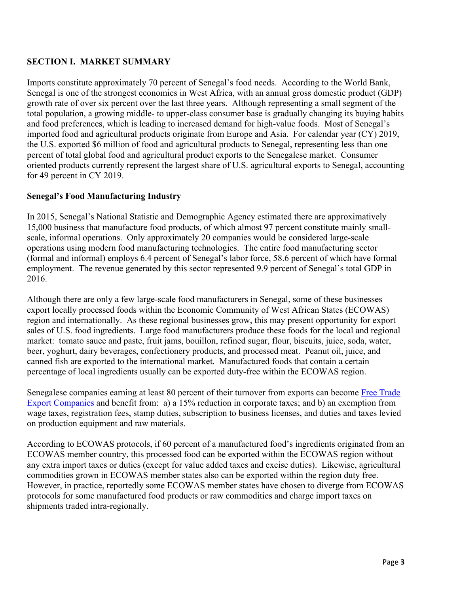### **SECTION I. MARKET SUMMARY**

Imports constitute approximately 70 percent of Senegal's food needs. According to the World Bank, Senegal is one of the strongest economies in West Africa, with an annual gross domestic product (GDP) growth rate of over six percent over the last three years. Although representing a small segment of the total population, a growing middle- to upper-class consumer base is gradually changing its buying habits and food preferences, which is leading to increased demand for high-value foods. Most of Senegal's imported food and agricultural products originate from Europe and Asia. For calendar year (CY) 2019, the U.S. exported \$6 million of food and agricultural products to Senegal, representing less than one percent of total global food and agricultural product exports to the Senegalese market. Consumer oriented products currently represent the largest share of U.S. agricultural exports to Senegal, accounting for 49 percent in CY 2019.

#### **Senegal's Food Manufacturing Industry**

In 2015, Senegal's National Statistic and Demographic Agency estimated there are approximatively 15,000 business that manufacture food products, of which almost 97 percent constitute mainly smallscale, informal operations. Only approximately 20 companies would be considered large-scale operations using modern food manufacturing technologies. The entire food manufacturing sector (formal and informal) employs 6.4 percent of Senegal's labor force, 58.6 percent of which have formal employment. The revenue generated by this sector represented 9.9 percent of Senegal's total GDP in 2016.

Although there are only a few large-scale food manufacturers in Senegal, some of these businesses export locally processed foods within the Economic Community of West African States (ECOWAS) region and internationally. As these regional businesses grow, this may present opportunity for export sales of U.S. food ingredients. Large food manufacturers produce these foods for the local and regional market: tomato sauce and paste, fruit jams, bouillon, refined sugar, flour, biscuits, juice, soda, water, beer, yoghurt, dairy beverages, confectionery products, and processed meat. Peanut oil, juice, and canned fish are exported to the international market. Manufactured foods that contain a certain percentage of local ingredients usually can be exported duty-free within the ECOWAS region.

Senegalese companies earning at least 80 percent of their turnover from exports can become [Free Trade](http://creationdentreprise.sn/en/free-export-enterprise-status)  [Export Companies](http://creationdentreprise.sn/en/free-export-enterprise-status) and benefit from: a) a 15% reduction in corporate taxes; and b) an exemption from wage taxes, registration fees, stamp duties, subscription to business licenses, and duties and taxes levied on production equipment and raw materials.

According to ECOWAS protocols, if 60 percent of a manufactured food's ingredients originated from an ECOWAS member country, this processed food can be exported within the ECOWAS region without any extra import taxes or duties (except for value added taxes and excise duties). Likewise, agricultural commodities grown in ECOWAS member states also can be exported within the region duty free. However, in practice, reportedly some ECOWAS member states have chosen to diverge from ECOWAS protocols for some manufactured food products or raw commodities and charge import taxes on shipments traded intra-regionally.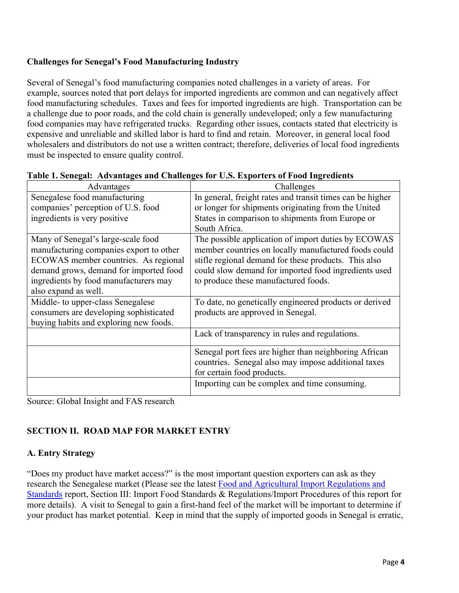### **Challenges for Senegal's Food Manufacturing Industry**

Several of Senegal's food manufacturing companies noted challenges in a variety of areas. For example, sources noted that port delays for imported ingredients are common and can negatively affect food manufacturing schedules. Taxes and fees for imported ingredients are high. Transportation can be a challenge due to poor roads, and the cold chain is generally undeveloped; only a few manufacturing food companies may have refrigerated trucks. Regarding other issues, contacts stated that electricity is expensive and unreliable and skilled labor is hard to find and retain. Moreover, in general local food wholesalers and distributors do not use a written contract; therefore, deliveries of local food ingredients must be inspected to ensure quality control.

| Advantages                              | Challenges                                                |
|-----------------------------------------|-----------------------------------------------------------|
| Senegalese food manufacturing           | In general, freight rates and transit times can be higher |
| companies' perception of U.S. food      | or longer for shipments originating from the United       |
| ingredients is very positive            | States in comparison to shipments from Europe or          |
|                                         | South Africa.                                             |
| Many of Senegal's large-scale food      | The possible application of import duties by ECOWAS       |
| manufacturing companies export to other | member countries on locally manufactured foods could      |
| ECOWAS member countries. As regional    | stifle regional demand for these products. This also      |
| demand grows, demand for imported food  | could slow demand for imported food ingredients used      |
| ingredients by food manufacturers may   | to produce these manufactured foods.                      |
| also expand as well.                    |                                                           |
| Middle- to upper-class Senegalese       | To date, no genetically engineered products or derived    |
| consumers are developing sophisticated  | products are approved in Senegal.                         |
| buying habits and exploring new foods.  |                                                           |
|                                         | Lack of transparency in rules and regulations.            |
|                                         | Senegal port fees are higher than neighboring African     |
|                                         | countries. Senegal also may impose additional taxes       |
|                                         | for certain food products.                                |
|                                         | Importing can be complex and time consuming.              |

|  |  | Table 1. Senegal: Advantages and Challenges for U.S. Exporters of Food Ingredients |
|--|--|------------------------------------------------------------------------------------|
|  |  |                                                                                    |

Source: Global Insight and FAS research

## **SECTION II. ROAD MAP FOR MARKET ENTRY**

### **A. Entry Strategy**

"Does my product have market access?" is the most important question exporters can ask as they research the Senegalese market (Please see the latest [Food and Agricultural Import Regulations and](https://www.fas.usda.gov/data/senegal-fairs-country-report-4)  [Standards](https://www.fas.usda.gov/data/senegal-fairs-country-report-4) report, Section III: Import Food Standards & Regulations/Import Procedures of this report for more details). A visit to Senegal to gain a first-hand feel of the market will be important to determine if your product has market potential. Keep in mind that the supply of imported goods in Senegal is erratic,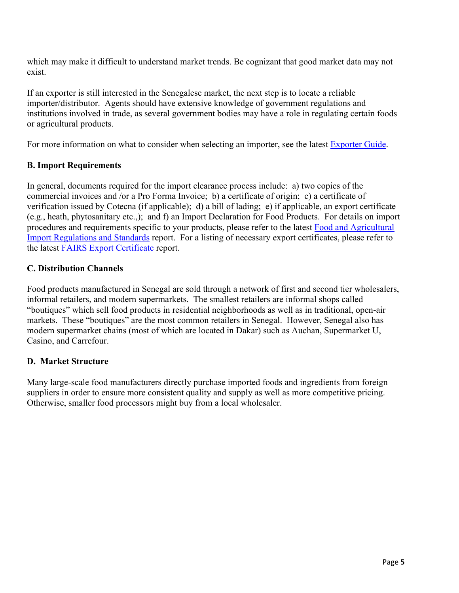which may make it difficult to understand market trends. Be cognizant that good market data may not exist.

If an exporter is still interested in the Senegalese market, the next step is to locate a reliable importer/distributor. Agents should have extensive knowledge of government regulations and institutions involved in trade, as several government bodies may have a role in regulating certain foods or agricultural products.

For more information on what to consider when selecting an importer, see the latest [Exporter Guide](https://www.fas.usda.gov/data/senegal-exporter-guide-4).

### **B. Import Requirements**

In general, documents required for the import clearance process include: a) two copies of the commercial invoices and /or a Pro Forma Invoice; b) a certificate of origin; c) a certificate of verification issued by Cotecna (if applicable); d) a bill of lading; e) if applicable, an export certificate (e.g., heath, phytosanitary etc.,); and f) an Import Declaration for Food Products. For details on import procedures and requirements specific to your products, please refer to the latest [Food and Agricultural](https://www.fas.usda.gov/data/senegal-fairs-country-report-4)  [Import Regulations and Standards](https://www.fas.usda.gov/data/senegal-fairs-country-report-4) report. For a listing of necessary export certificates, please refer to the latest [FAIRS Export Certificate](https://www.fas.usda.gov/data/senegal-fairs-export-certificate-report-4) report.

### **C. Distribution Channels**

Food products manufactured in Senegal are sold through a network of first and second tier wholesalers, informal retailers, and modern supermarkets. The smallest retailers are informal shops called "boutiques" which sell food products in residential neighborhoods as well as in traditional, open-air markets. These "boutiques" are the most common retailers in Senegal. However, Senegal also has modern supermarket chains (most of which are located in Dakar) such as Auchan, Supermarket U, Casino, and Carrefour.

### **D. Market Structure**

Many large-scale food manufacturers directly purchase imported foods and ingredients from foreign suppliers in order to ensure more consistent quality and supply as well as more competitive pricing. Otherwise, smaller food processors might buy from a local wholesaler.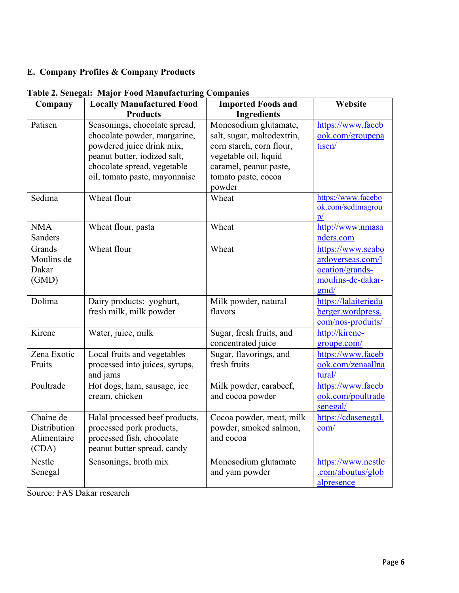## **E. Company Profiles & Company Products**

| Company              | <b>Locally Manufactured Food</b>                              | <b>Imported Foods and</b>                           | Website                                 |
|----------------------|---------------------------------------------------------------|-----------------------------------------------------|-----------------------------------------|
|                      | <b>Products</b>                                               | <b>Ingredients</b>                                  |                                         |
| Patisen              | Seasonings, chocolate spread,<br>chocolate powder, margarine, | Monosodium glutamate,<br>salt, sugar, maltodextrin, | https://www.faceb<br>ook.com/groupepa   |
|                      | powdered juice drink mix,                                     | corn starch, corn flour,                            | tisen/                                  |
|                      | peanut butter, iodized salt,                                  | vegetable oil, liquid                               |                                         |
|                      | chocolate spread, vegetable                                   | caramel, peanut paste,                              |                                         |
|                      | oil, tomato paste, mayonnaise                                 | tomato paste, cocoa                                 |                                         |
|                      |                                                               | powder                                              |                                         |
| Sedima               | Wheat flour                                                   | Wheat                                               | https://www.facebo<br>ok.com/sedimagrou |
| <b>NMA</b>           |                                                               | Wheat                                               | $\mathbf{D}$                            |
| Sanders              | Wheat flour, pasta                                            |                                                     | http://www.nmasa<br>nders.com           |
| Grands<br>Moulins de | Wheat flour                                                   | Wheat                                               | https://www.seabo<br>ardoverseas.com/l  |
| Dakar                |                                                               |                                                     | ocation/grands-                         |
| (GMD)                |                                                               |                                                     | moulins-de-dakar-                       |
|                      |                                                               |                                                     | gmd/                                    |
| Dolima               | Dairy products: yoghurt,                                      | Milk powder, natural                                | https://lalaiteriedu                    |
|                      | fresh milk, milk powder                                       | flavors                                             | berger.wordpress.                       |
|                      |                                                               |                                                     | com/nos-produits/                       |
| Kirene               | Water, juice, milk                                            | Sugar, fresh fruits, and                            | http://kirene-                          |
|                      |                                                               | concentrated juice                                  | groupe.com/                             |
| Zena Exotic          | Local fruits and vegetables                                   | Sugar, flavorings, and                              | https://www.faceb                       |
| Fruits               | processed into juices, syrups,<br>and jams                    | fresh fruits                                        | ook.com/zenaallna<br>tural/             |
| Poultrade            | Hot dogs, ham, sausage, ice                                   | Milk powder, carabeef,                              | https://www.faceb                       |
|                      | cream, chicken                                                | and cocoa powder                                    | ook.com/poultrade                       |
|                      |                                                               |                                                     | senegal/                                |
| Chaine de            | Halal processed beef products,                                | Cocoa powder, meat, milk                            | https://cdasenegal.                     |
| Distribution         | processed pork products,                                      | powder, smoked salmon,                              | com/                                    |
| Alimentaire          | processed fish, chocolate                                     | and cocoa                                           |                                         |
| (CDA)                | peanut butter spread, candy                                   |                                                     |                                         |
| Nestle               | Seasonings, broth mix                                         | Monosodium glutamate                                | https://www.nestle                      |
| Senegal              |                                                               | and yam powder                                      | .com/aboutus/glob                       |
|                      |                                                               |                                                     | alpresence                              |

# **Table 2. Senegal: Major Food Manufacturing Companies**

Source: FAS Dakar research